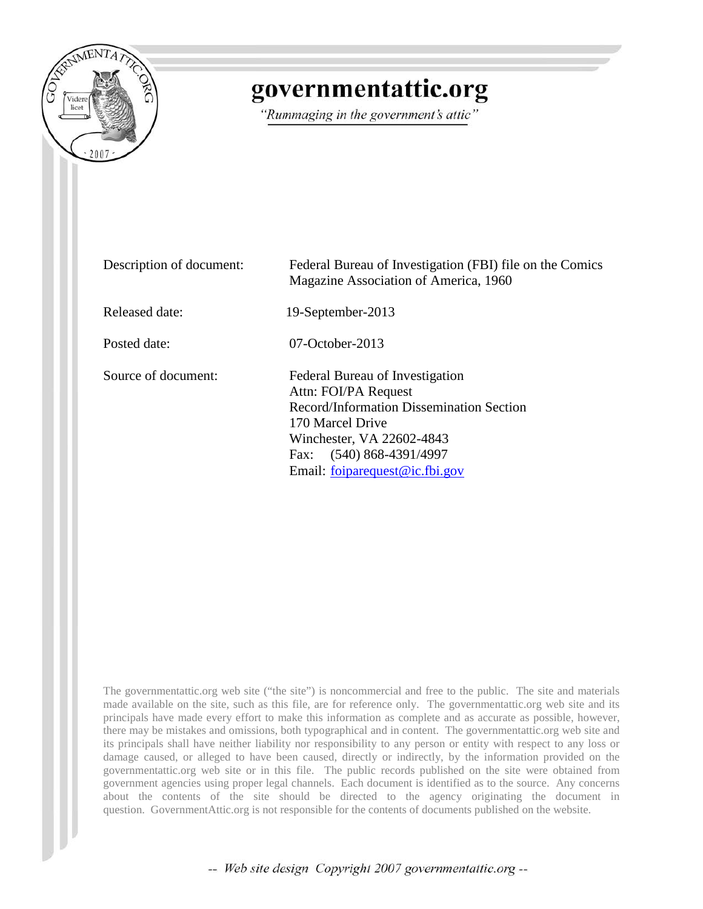

## governmentattic.org

"Rummaging in the government's attic"

| Description of document: | Federal Bureau of Investigation (FBI) file on the Comics<br>Magazine Association of America, 1960                                                                                                                  |
|--------------------------|--------------------------------------------------------------------------------------------------------------------------------------------------------------------------------------------------------------------|
| Released date:           | 19-September-2013                                                                                                                                                                                                  |
| Posted date:             | $07-October-2013$                                                                                                                                                                                                  |
| Source of document:      | Federal Bureau of Investigation<br>Attn: FOI/PA Request<br>Record/Information Dissemination Section<br>170 Marcel Drive<br>Winchester, VA 22602-4843<br>Fax: (540) 868-4391/4997<br>Email: foiparequest@ic.fbi.gov |

The governmentattic.org web site ("the site") is noncommercial and free to the public. The site and materials made available on the site, such as this file, are for reference only. The governmentattic.org web site and its principals have made every effort to make this information as complete and as accurate as possible, however, there may be mistakes and omissions, both typographical and in content. The governmentattic.org web site and its principals shall have neither liability nor responsibility to any person or entity with respect to any loss or damage caused, or alleged to have been caused, directly or indirectly, by the information provided on the governmentattic.org web site or in this file. The public records published on the site were obtained from government agencies using proper legal channels. Each document is identified as to the source. Any concerns about the contents of the site should be directed to the agency originating the document in question. GovernmentAttic.org is not responsible for the contents of documents published on the website.

-- Web site design Copyright 2007 governmentattic.org --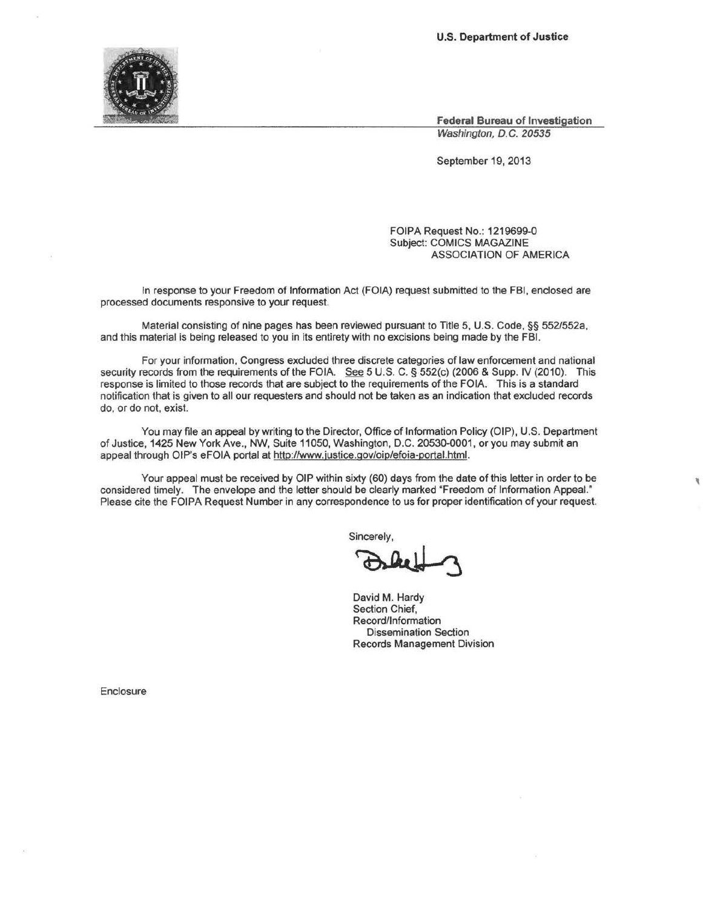

**Federal Bureau of Investigation**  Washington, D.C. 20535

'

September 19, 2013

FOIPA Request No.: 1219699-0 Subject: COMICS MAGAZINE ASSOCIATION OF AMERICA

In response to your Freedom of Information Act (FOIA) request submitted to the FBI, enclosed are processed documents responsive to your request.

Material consisting of nine pages has been reviewed pursuant to Title 5, U.S. Code,§§ 552/552a, and this material is being released to you in its entirety with no excisions being made by the FBI.

For your information, Congress excluded three discrete categories of law enforcement and national security records from the requirements of the FOIA. See 5 U.S. C. § 552(c) (2006 & Supp. IV (2010). This response is limited to those records that are subject to the requirements of the FOIA. This is a standard notification that is given to all our requesters and should not be taken as an indication that excluded records do, or do not, exist.

You may file an appeal by writing to the Director, Office of Information Policy (OIP), U.S. Department of Justice, 1425 New York Ave., NW, Suite 11050, Washington, D.C. 20530-0001, or you may submit an appeal through OIP's eFOIA portal at http://www.justice.gov/oip/efoia-portal.html.

Your appeal must be received by OIP within sixty (60) days from the date of this letter in order to be considered timely. The envelope and the letter should be clearly marked "Freedom of Information Appeal." Please cite the FOIPA Request Number in any correspondence to us for proper identification of your request.<br>
Sincerely,<br>
David M. Hardy

Sincerely,

David **M.** Hardy Section Chief, Record/Information Dissemination Section Records Management Division

Enclosure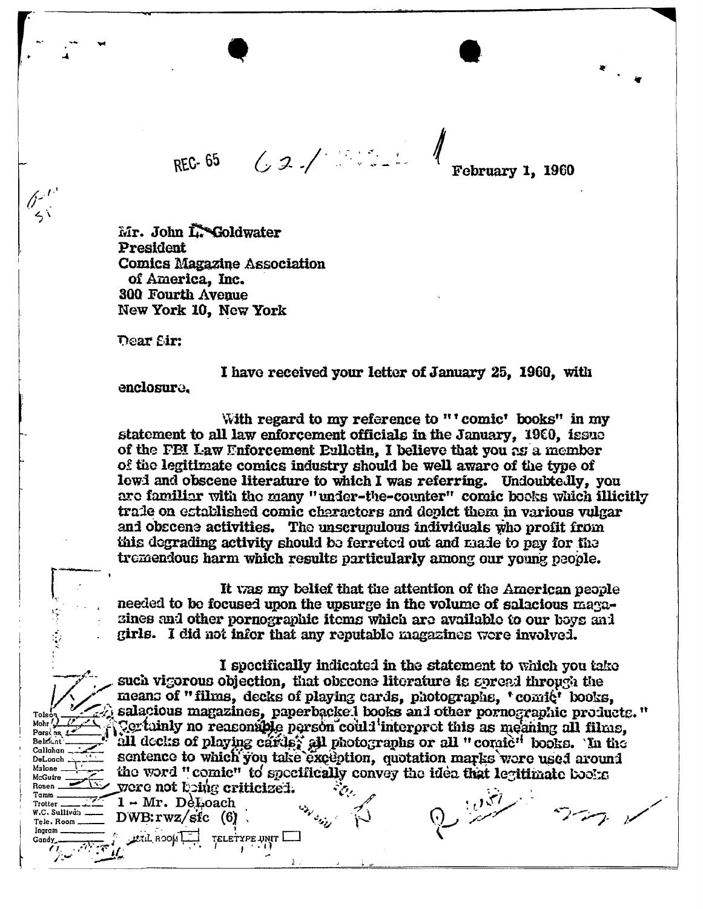REC-65 62/10

February 1, 1960

Mr. John L. Goldwater President **Comics Magazine Association** of America, Inc. 300 Fourth Avenue New York 10. New York

Dear Sir:

 $e^{t^3}$  $\leq$ 

Tol

Mohr Pars

**Below**nt Callahan DeLoach

Malone McGuire

**Rosen** 

Tamm

Trotter W.C. Sullivan

Gandy

Tele, Room Ingram

I have received your letter of January 25, 1960, with

enclosure.

 $1 - Mr. DeLoach$ 

**LETIL ROOM** 

 $DWB: rwz/\text{sfc}$  (6).

TELETYPE UNIT

With regard to my reference to "' comic' books" in my statement to all law enforcement officials in the January, 1960, issue of the FBI Law Enforcement Eulletin, I believe that you as a member of the legitimate comics industry should be well aware of the type of lewi and obscene literature to which I was referring. Undoubtedly, you are familiar with the many "under-the-counter" comic books which illicitly trade on established comic characters and depict them in various vulgar and obscene activities. The unscrupulous individuals who profit from this degrading activity should be ferreted out and made to pay for the tremendous harm which results particularly among our young people.

It was my belief that the attention of the American people needed to be focused upon the upsurge in the volume of salacious magasines and other pornographic items which are available to our boys and girls. I did not infor that any reputable magazines were involved.

I specifically indicated in the statement to which you take such vigorous objection, that obscone literature is spread through the means of "films, decks of playing cards, photographs, 'comic' books, salacious magazines, paperbacked books and other pornographic products." Certainly no reasonable person could interpret this as meaning all films. all decks of playing cards, all photographs or all "comic" books. In the sentence to which you take exception, quotation marks were used around the word "comic" to specifically convey the idea that legitimate books yere not being criticized.  $\mathcal{M}_{\mathcal{M}}$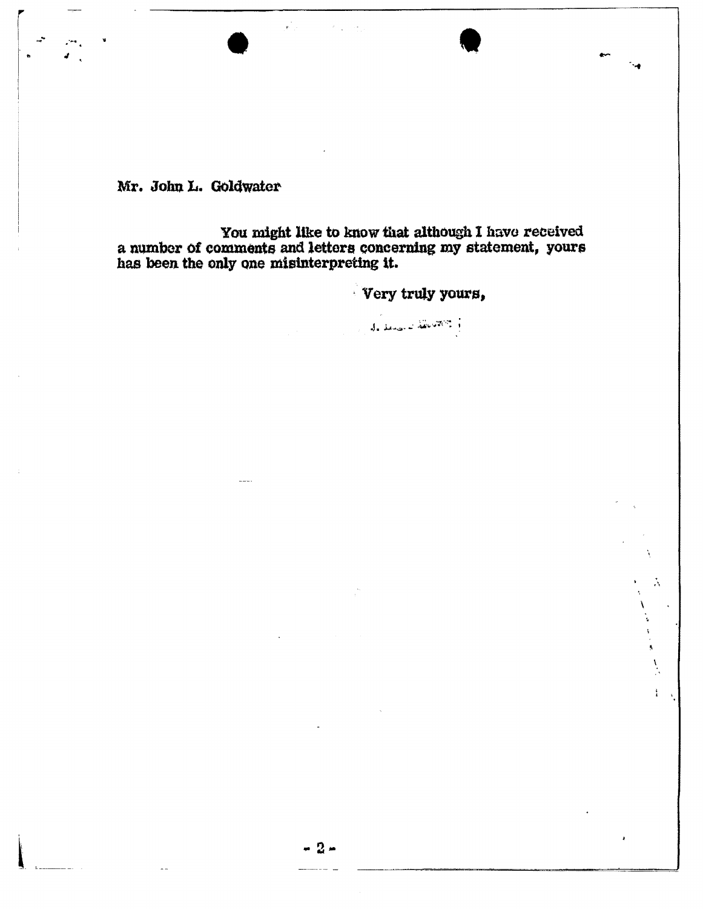Mr. John L. Goldwater

You might like to know that although I have received<br>a number of comments and letters concerning my statement, yours<br>has been the only one misinterpreting it.

Very truly yours,

 $\tilde{\lambda}$ 

を<br>する<br>一度

 $\sum_{i=1}^{n}$ 

 $\frac{1}{4}$ 

de denominăteritori ;

- 2 -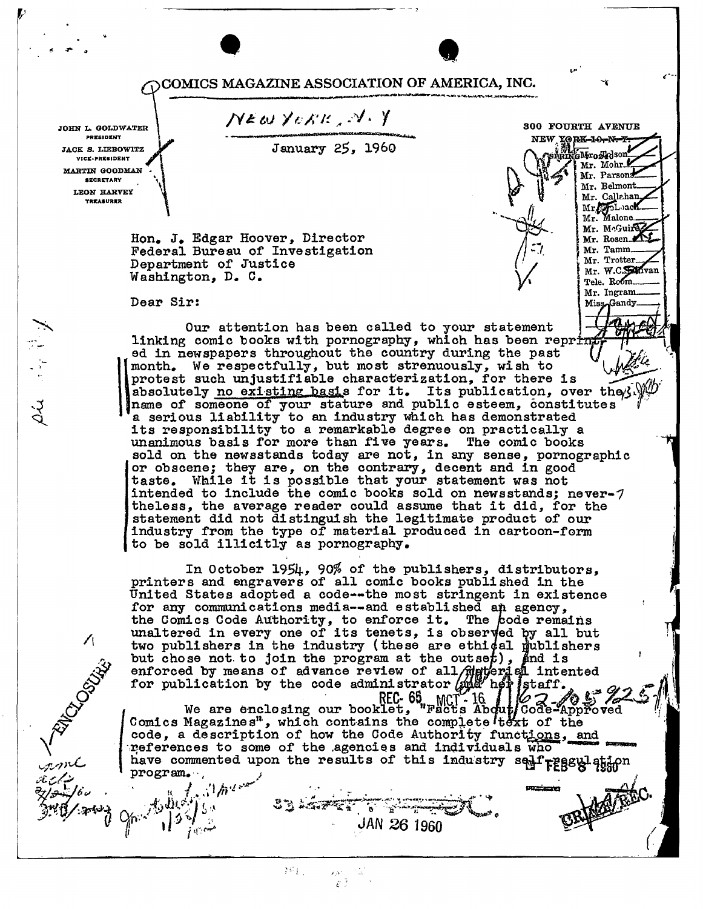COMICS MAGAZINE ASSOCIATION OF AMERICA, INC.

...

300 FOURTH AVENUE

Mr. Mohr.

Mr. Parsons

Mr. Belmont.

Mr. Callahan

Mr. of Loach Mr. Malone Mr. McGuiraz Mr. Rosen Mr. Tamm Mr. Trotter. Mr. W.C. Sanvan Tele. Room. Mr. Ingram. Miss-Gandy

NEW YORK-10-N-F SHRINGNFroskdson ~···

(

January *25,* 1960

NEW YORK, N.Y

JOHN L. GOLDWATER **PRESIDENT JACK S. LIEBOWITZ** .<br>VICE-PRESIDENT MARTIN GOODMAN **SECRETARY** LEON HARVEY **TREASURER** 

*v* '

 $\cdot$   $\cdot$   $\cdot$ 

 $\sqrt{2}$ 

سكنان بربير

*{* 

.

 $\mathbf{A}^{\perp}$ ,,  $\mathbf{K} \cdot \mathbf{A}$ /  $\cdots$ 

Hon. J. Edgar Hoover, Director Federal Bureau of Investigation Department of Justice Washington, D. C.

Dear Sir:

Our attention has been called to your statement linking comic books with pornography, which has been reprint ed in newspapers throughout the country during the past protest such unjustifiable characterization, for there is  $\overrightarrow{a}$  absolutely no existing basis for it. Its publication, over the  $\overrightarrow{b}$  $\mathbf{\mathcal{N}}$ month. We respectfully, but most strenuously, wish to procest such unjustifiants characterization, for there is<br>absolutely <u>no existing basi</u>s for it. Its publication, over they.  $\frac{1}{2}$ <br>name of someone of your stature and public esteem, constitutes  $\frac{1}{2}$ <br>a serious liab its responsibility to a remarkable degree on practically a unanimous basis for more than five years. The comic books sold on the newsstands today are not, in any sense, pornographic or obscene; they are, on the contrary, decent and in good or obscene; they are, on the contrary, decent and in good intended to include the comic books sold on newsstands; never- $7$ theless, the average reader could assume that it did, for the statement did not distinguish the legitimate product of our industry from the type of material produced in cartoon-form to be sold illicitly as pornography.

In October 1954, 90% of the publishers, distributors, printers and engravers of all comic books published in the United States adopted a code--the most stringent in existence for any communications media--and established an agency, for any communications media--and established an agency, the Comics Code Authority, to enforce it. The code remains unaltered in every one of its tenets, is observed by all but two publishers in the industry (these are ethical publishers but chose not to join the program at the outset), and is  $\left( \begin{array}{ccc} 0 & 0 & 0 \\ 0 & 0 & 0 \\ 0 & 0 & 0 \end{array} \right)$ enforced by means of advance review of all develops intented<br>for publication by the code administrator and her staff.<br>DEC 25 MOTH:  $R = \frac{REC - 65}{N}$  MCT - 16.  $1162 - 0572 - 11$ 

We are enclosing our booklet, "Facts About Code-Approved" Comics Magazines", which contains the complete text of the code, a description of how the Code Authority functions, and  $\frac{1}{2}$  references to some of the agencies and individuals who have commented upon the results of this industry self reagalation program. ·, ; .  $\mathbb{R}^d$  in the contract of  $\sum_{i=1}^n$ 

 $\mathcal{E}$  .  $\mathcal{I}$  .

 $\mathcal{W}_{\mathrm{L},\mathrm{L}}$ 

 $\gamma_{\rm m}$   $\frac{1}{3}$   $\frac{1}{3}$   $\frac{1}{3}$   $\frac{1}{3}$   $\frac{1}{3}$   $\frac{1}{3}$   $\frac{1}{3}$   $\frac{1}{3}$   $\frac{1}{3}$   $\frac{1}{3}$   $\frac{1}{3}$   $\frac{1}{3}$   $\frac{1}{3}$   $\frac{1}{3}$   $\frac{1}{3}$   $\frac{1}{3}$   $\frac{1}{3}$   $\frac{1}{3}$   $\frac{1}{3}$   $\frac{1}{3}$   $\frac{1}{3}$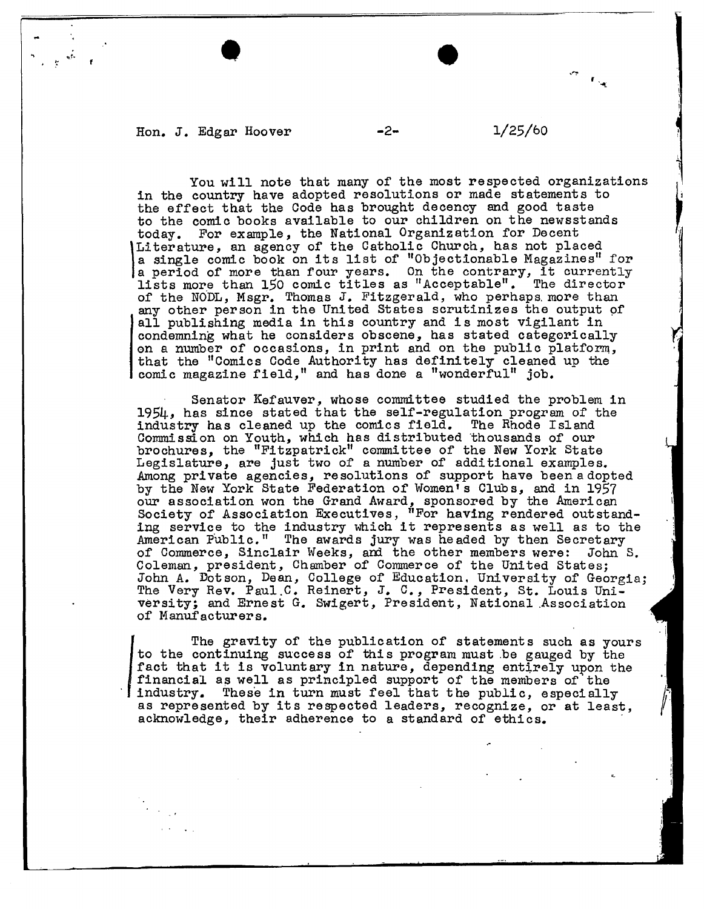Hon. J. Edgar Hoover  $-2 1/25/60$ 

.•

/

..

You will note that many of the most respected organizations in the country have adopted resolutions or made statements to the effect that the Code has brought decency and good taste to the comic books available to our children on the newsstands today. For example, the National Organization for Decent Literature, an agency of the Catholic Church, has not placed<br>a single comic book on its list of "Objectionable Magazines" for<br>a period of more than four years. On the contrary, it currently<br>lists more than 150 comic titles Literature, an agency of the Catholic Church, has not placed a single comic book on its list of "Objectionable Magazines" for of the NODL, Msgr. Thomas J. Fitzgerald, who perhaps more than any other person in the United States scrutinizes the output of all publishing media in this country and is most vigilant in condemning what he considers obscene, has stated categorically on a number of occasions, in print and on the public platform, that the "Comics Code Authority has definitely cleaned up the comic magazine field," and has done a "wonderful" job.

Senator Kefauver, whose committee studied the problem in 1954, has since stated that the self-regulation program of the industry has cleaned up the comics field. The Rhode Island Commission on Youth, which has distributed thousands of our brochures, the "Fitzpatrick" committee or the New York State Legislature, are just two of a number of additional examples. Among private agencies, resolutions of support have been adopted by the New York State Federation of Women<sup>1</sup>s Clubs, and in 1957 our association won the Grand Award, sponsored by the American Society of Association Executives, "For having rendered outstand-ing service to the industry which it represents as well as to the American Public." The awards jury was headed by then Secretary of Commerce, Sinclair Weeks, and the other members were: John S. of Commerce, Sinclair Weeks, and the other members were: John S. Coleman, president, Chamber of Commerce of the United States; John A. Dotson, Dean, College of Education, University of Georgia;<br>The Very Rev. Paul.C. Reinert, J. C., President, St. Louis University; and Ernest G. Swigert, President, National .Association of Manufacturers.

I industry. The gravity of the publication of statements such as yours to the continuing success of this program must .be gauged by the fact that it is voluntary in nature, depending entirely upon the financial as well as principled support of the members of the industry. These in turn must feel that the public, especially as represented by its respected leaders, recognize, or at least, acknowledge, their adherence to a standard of ethics.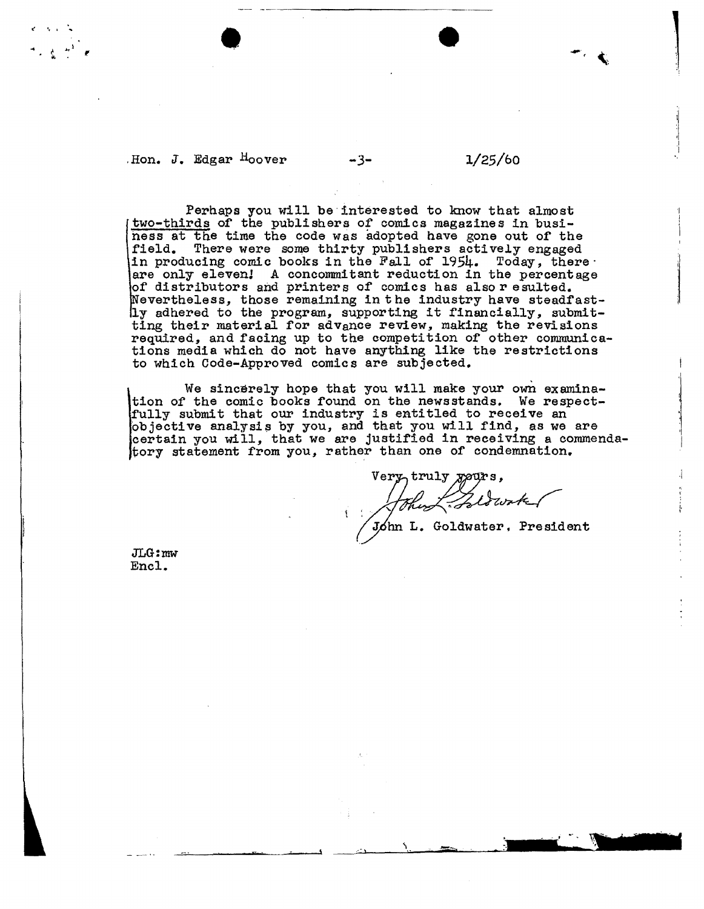.Hon. J. Edgar Hoover *-3-* l/25/bo

----------~~---

Perhaps you will be interested to know that almost two-thirds of the publishers of comics magazines in business at the time the code was adopted have gone out of the field. There were some thirty publishers actively engaged in producing comic books in the Fall of 1954. Today, there are only eleven! A concommitant reduction in the percentage of distributors and printers of comics has also r esulted. Nevertheless, those remaining in the industry have steadfastly adhered to the program, supporting it financially, submitting their material for advance review, making the revisions required, and facing up to the competition of other communications media which do not have anything like the restrictions to which Code-Approved comics are subjected.

We sincerely hope that you will make your own examina-<br>tion of the comic books found on the newsstands. We respecttion of the comic books found on the newsstands. We respect-<br>fully submit that our industry is entitled to receive an objective analysis by you, and that you will find, as we are certain you will, that we are justified in receiving a commenda- $[$ tory statement from you, rather than one of condemnation.

Very truly gours,<br>John L. Goldwater, President

JLG:mw Encl.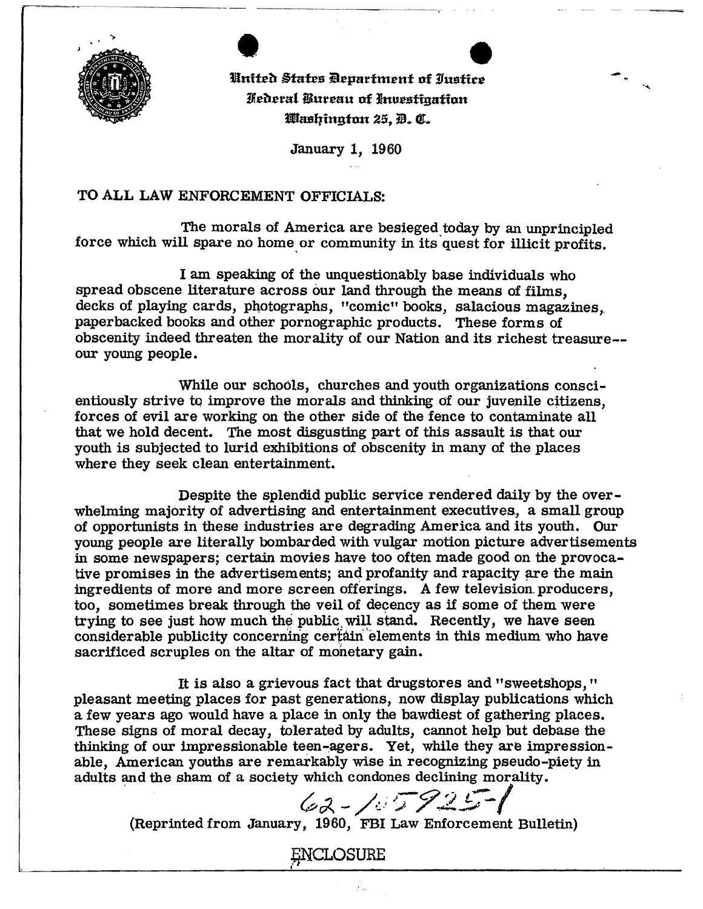

United States Department of Iustice Hederal Bureau of Investigation Washington 25, D. C.

-

January 1, 1960

## TO ALL LAW ENFORCEMENT OFFICIALS:

The morals of America are besieged today by an unprincipled force which will spare no home or community in its quest for illicit profits.

I am speaking of the unquestionably base individuals who spread obscene literature across our land through the means of films, decks of playing cards, photographs, "comic" books, salacious magazines, paperbacked books and other pornographic products. These forms of obscenity indeed threaten the morality of our Nation and its richest treasure-our young people.

While our schools, churches and youth organizations conscientiously strive to improve the morals and thinking of our juvenile citizens, forces of evil are working on the other side of the fence to contaminate all that we hold decent. The most disgusting part of this assault is that our youth is subjected to lurid exhibitions of obscenity in many of the places where they seek clean entertainment.

Despite the splendid public service rendered daily by the overwhelming majority of advertising and entertainment executives, a small group of opportunists in these industries are degrading America and its youth. Our young people are literally bombarded with vulgar motion picture advertisements in some newspapers; certain movies have too often made good on the provocative promises in the advertisements; and profanity and rapacity are the main ingredients of more and more screen offerings. A few television. producers, too, sometimes break through the veil of decency as if some of them were trying to see just how much the public will stand. Recently, we have seen considerable publicity concerning certain elements in this medium who have sacrificed scruples on the altar of monetary gain.

It is also a grievous fact that drugstores and "sweetshops," pleasant meeting places for past generations, now display publications which a few years ago would have a place in only the bawdiest of gathering places. These signs of moral decay, tolerated by adults, cannot help but debase the thinking of our impressionable teen-agers. Yet, while they are impressionable, American youths are remarkably wise in recognizing pseudo-piety in adults and the sham of a society which condones declining morality.

 $62 - 107925 - 1$ 

(Reprinted from January, 1960, FBI Law Enforcement Bulletin)

**ENCLOSURE**  $\overline{\phantom{a}}$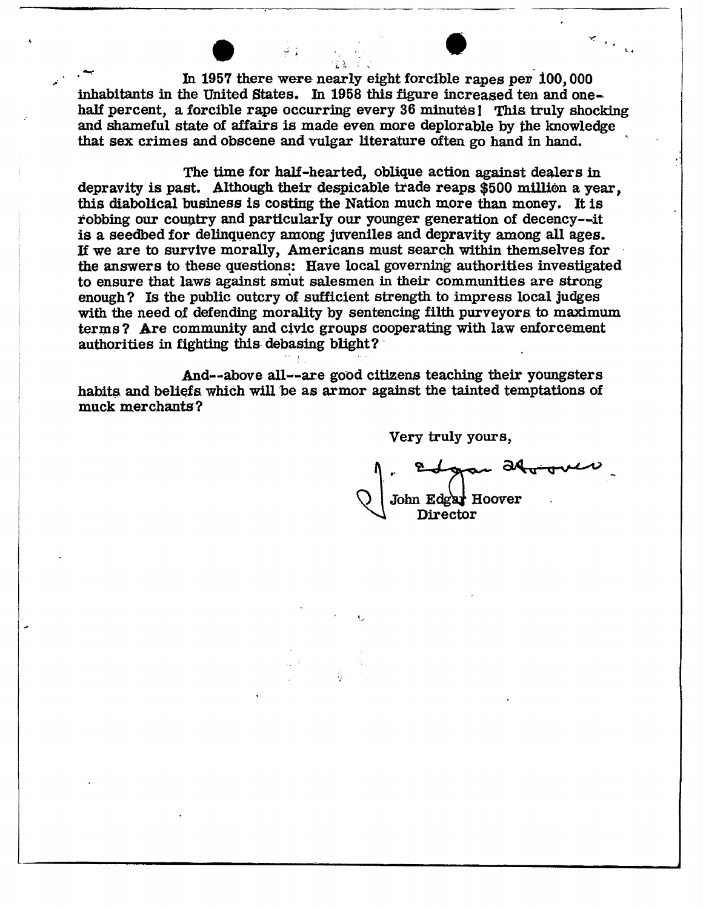In 1957 there were nearly eight forcible rapes per 100,000 inhabitants in the United States. In 1958 this figure increased ten and onehalf percent, a forcible rape occurring every 36 minutes! This truly shocking and shameful state of affairs is made even more deplorable by the knowledge that sex crimes and obscene and vulgar literature often go hand in hand.

The time for half-hearted, oblique action against dealers in depravity is past. Although their despicable trade reaps \$500 million a year. this diabolical business is costing the Nation much more than money. It is robbing our country and particularly our younger generation of decency--it is a seedbed for delinquency among juveniles and depravity among all ages. If we are to survive morally, Americans must search within themselves for the answers to these questions: Have local governing authorities investigated to ensure that laws against smut salesmen in their communities are strong enough? Is the public outcry of sufficient strength to impress local judges with the need of defending morality by sentencing filth purveyors to maximum terms? Are community and civic groups cooperating with law enforcement authorities in fighting this debasing blight?

And--above all--are good citizens teaching their youngsters habits and beliefs which will be as armor against the tainted temptations of muck merchants?

Very truly yours,

John Edgar Hoover Director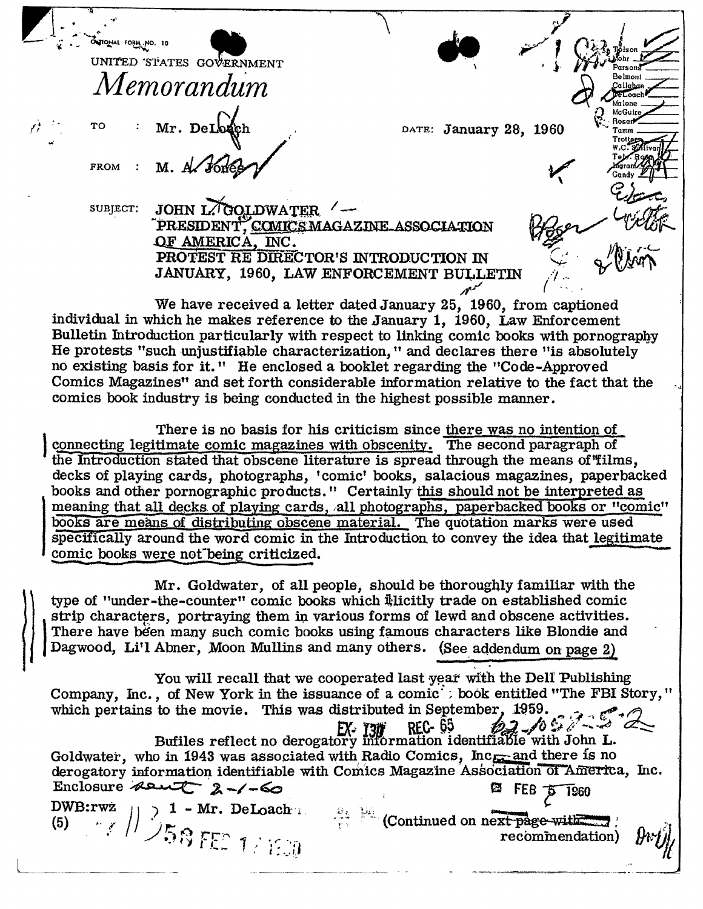| OUTONAL FORM NO. 10 |                          |                                                                                         |                        |                     |
|---------------------|--------------------------|-----------------------------------------------------------------------------------------|------------------------|---------------------|
|                     | UNITED STATES GOVERNMENT |                                                                                         |                        |                     |
|                     | Memorandum               |                                                                                         |                        | Belmont<br>Jallaban |
|                     |                          |                                                                                         |                        |                     |
| <b>TO</b>           | : Mr. DeLonch            |                                                                                         | DATE: January 28, 1960 |                     |
|                     |                          |                                                                                         |                        |                     |
| FROM :              | M. A Fores               |                                                                                         |                        |                     |
|                     |                          |                                                                                         |                        |                     |
| SUBJECT:            | JOHN LAGOLDWATER         |                                                                                         |                        |                     |
|                     |                          | PRESIDENT, COMICS MAGAZINE ASSOCIATION                                                  |                        |                     |
|                     | OF AMERICA, INC.         |                                                                                         |                        |                     |
|                     |                          | PROTEST RE DIRECTOR'S INTRODUCTION IN                                                   |                        |                     |
|                     |                          | JANUARY, 1960, LAW ENFORCEMENT BULLETIN                                                 |                        |                     |
|                     |                          |                                                                                         |                        |                     |
|                     |                          | We have received a letter dated January 25, 1960, from captioned                        |                        |                     |
|                     |                          | individual in which he makes reference to the January 1, 1960, Law Enforcement          |                        |                     |
|                     |                          | Bulletin Introduction particularly with respect to linking comic books with pornography |                        |                     |

He protests "such unjustifiable characterization," and declares there "is absolutely no existing basis for it." He enclosed a booklet regarding the "Code-Approved" Comics Magazines" and set forth considerable information relative to the fact that the comics book industry is being conducted in the highest possible manner.

There is no basis for his criticism since there was no intention of connecting legitimate comic magazines with obscenity. The second paragraph of the Introduction stated that obscene literature is spread through the means of "films, decks of playing cards, photographs, 'comic' books, salacious magazines, paperbacked books and other pornographic products." Certainly this should not be interpreted as meaning that all decks of playing cards, all photographs, paperbacked books or "comic" books are means of distributing obscene material. The quotation marks were used specifically around the word comic in the Introduction to convey the idea that legitimate comic books were not being criticized.

Mr. Goldwater, of all people, should be thoroughly familiar with the type of "under-the-counter" comic books which illicitly trade on established comic strip characters, portraying them in various forms of lewd and obscene activities. There have been many such comic books using famous characters like Blondie and Dagwood, Li'l Abner, Moon Mullins and many others. (See addendum on page 2)

You will recall that we cooperated last year with the Dell Publishing Company, Inc., of New York in the issuance of a comic<sup>t</sup>: book entitled "The FBI Story," which pertains to the movie. This was distributed in September, 1959.  $\mathcal{L} \mathcal{L} \cap \mathbb{C}^2$ **REC-65**  $62 - 109$  $EX - T3T$ Bufiles reflect no derogatory information identifiable with John L. Goldwater, who in 1943 was associated with Radio Comics, Inc<sub>rear</sub> and there is no derogatory information identifiable with Comics Magazine Association of America, Inc. Enclosure asit  $2 - 60$ Enclosure  $\left| \frac{1}{\sqrt{58}} \right|$  DWB:rwz<br>
(5)  $\left| \frac{1}{\sqrt{58}} \right|$   $\left| \frac{1}{\sqrt{58}} \right|$  $25$  FEB  $5$  1960  $\mathbb{R}^3$  (Continued on next page-with  $\mathbb{R}$ recommendation)